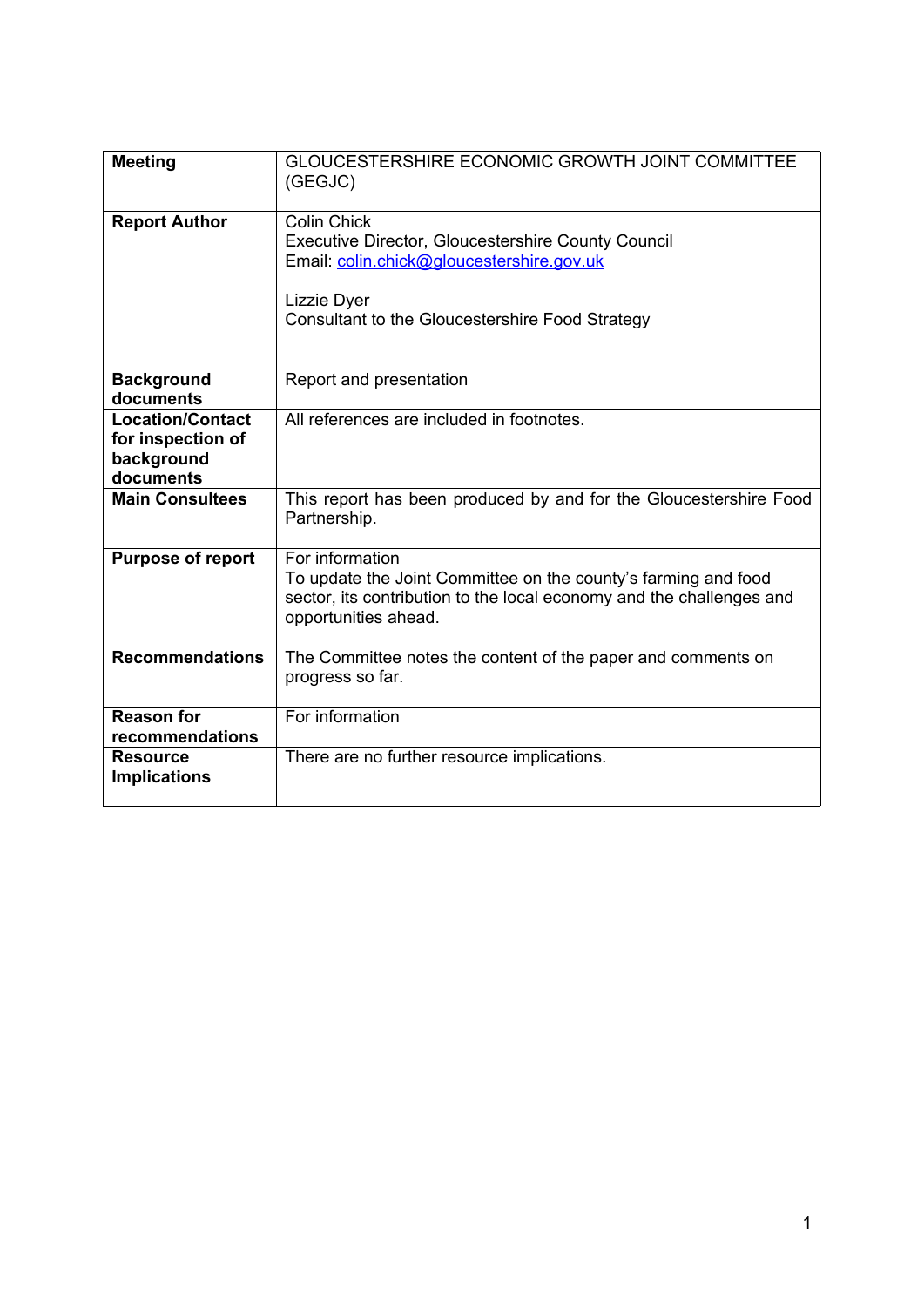| <b>Meeting</b>                                                          | <b>GLOUCESTERSHIRE ECONOMIC GROWTH JOINT COMMITTEE</b><br>(GEGJC)                                                                                                                              |
|-------------------------------------------------------------------------|------------------------------------------------------------------------------------------------------------------------------------------------------------------------------------------------|
| <b>Report Author</b>                                                    | <b>Colin Chick</b><br><b>Executive Director, Gloucestershire County Council</b><br>Email: colin.chick@gloucestershire.gov.uk<br>Lizzie Dyer<br>Consultant to the Gloucestershire Food Strategy |
| <b>Background</b><br>documents                                          | Report and presentation                                                                                                                                                                        |
| <b>Location/Contact</b><br>for inspection of<br>background<br>documents | All references are included in footnotes.                                                                                                                                                      |
| <b>Main Consultees</b>                                                  | This report has been produced by and for the Gloucestershire Food<br>Partnership.                                                                                                              |
| <b>Purpose of report</b>                                                | For information<br>To update the Joint Committee on the county's farming and food<br>sector, its contribution to the local economy and the challenges and<br>opportunities ahead.              |
| <b>Recommendations</b>                                                  | The Committee notes the content of the paper and comments on<br>progress so far.                                                                                                               |
| <b>Reason for</b><br>recommendations                                    | For information                                                                                                                                                                                |
| <b>Resource</b><br><b>Implications</b>                                  | There are no further resource implications.                                                                                                                                                    |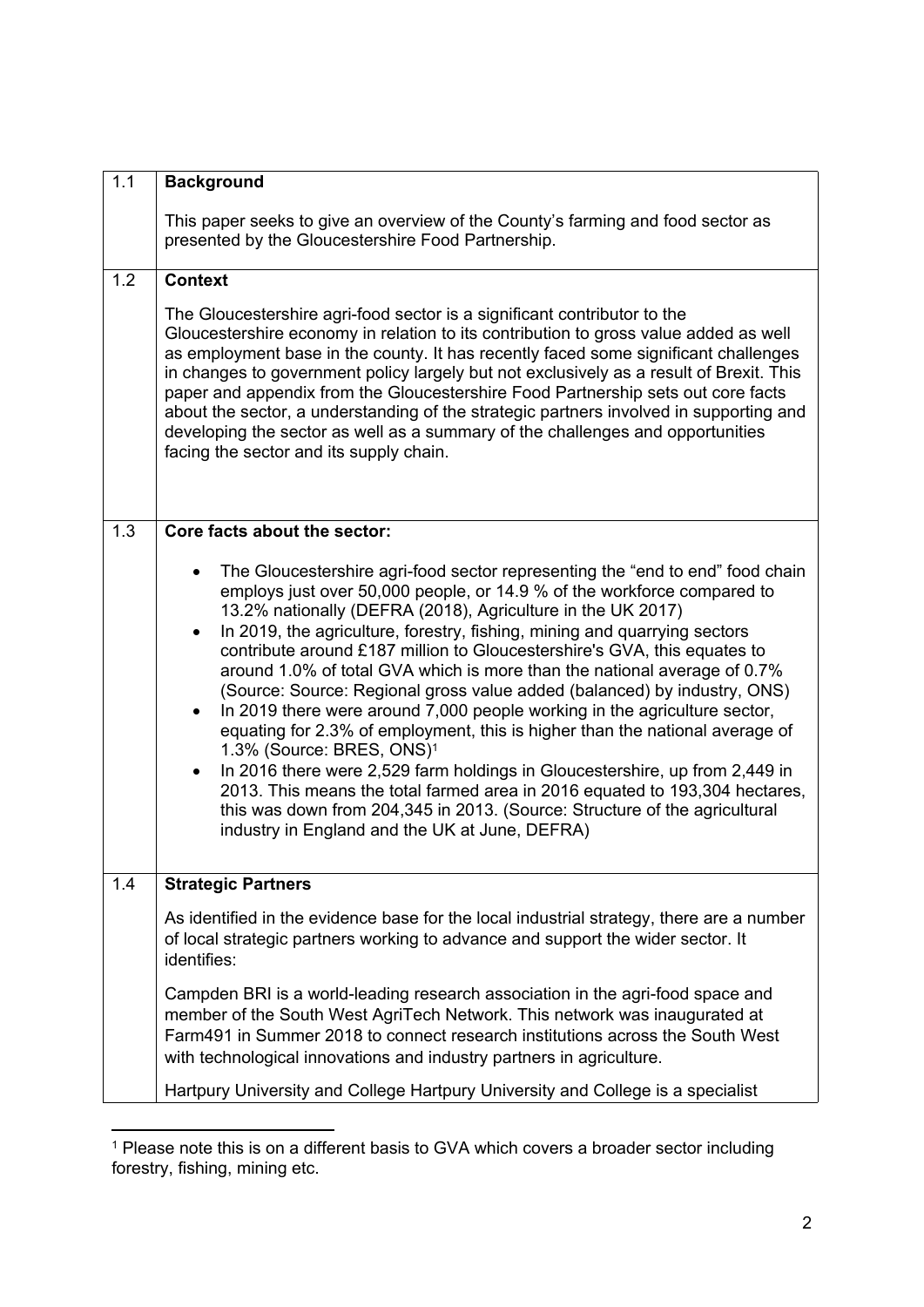| 1.1 | <b>Background</b>                                                                                                                                                                                                                                                                                                                                                                                                                                                                                                                                                                                                                                                                                                                                                                                                                                                                                                                                                                                                                            |
|-----|----------------------------------------------------------------------------------------------------------------------------------------------------------------------------------------------------------------------------------------------------------------------------------------------------------------------------------------------------------------------------------------------------------------------------------------------------------------------------------------------------------------------------------------------------------------------------------------------------------------------------------------------------------------------------------------------------------------------------------------------------------------------------------------------------------------------------------------------------------------------------------------------------------------------------------------------------------------------------------------------------------------------------------------------|
|     | This paper seeks to give an overview of the County's farming and food sector as<br>presented by the Gloucestershire Food Partnership.                                                                                                                                                                                                                                                                                                                                                                                                                                                                                                                                                                                                                                                                                                                                                                                                                                                                                                        |
| 1.2 | <b>Context</b>                                                                                                                                                                                                                                                                                                                                                                                                                                                                                                                                                                                                                                                                                                                                                                                                                                                                                                                                                                                                                               |
|     | The Gloucestershire agri-food sector is a significant contributor to the<br>Gloucestershire economy in relation to its contribution to gross value added as well<br>as employment base in the county. It has recently faced some significant challenges<br>in changes to government policy largely but not exclusively as a result of Brexit. This<br>paper and appendix from the Gloucestershire Food Partnership sets out core facts<br>about the sector, a understanding of the strategic partners involved in supporting and<br>developing the sector as well as a summary of the challenges and opportunities<br>facing the sector and its supply chain.                                                                                                                                                                                                                                                                                                                                                                                |
| 1.3 | Core facts about the sector:                                                                                                                                                                                                                                                                                                                                                                                                                                                                                                                                                                                                                                                                                                                                                                                                                                                                                                                                                                                                                 |
|     | The Gloucestershire agri-food sector representing the "end to end" food chain<br>employs just over 50,000 people, or 14.9 % of the workforce compared to<br>13.2% nationally (DEFRA (2018), Agriculture in the UK 2017)<br>In 2019, the agriculture, forestry, fishing, mining and quarrying sectors<br>contribute around £187 million to Gloucestershire's GVA, this equates to<br>around 1.0% of total GVA which is more than the national average of 0.7%<br>(Source: Source: Regional gross value added (balanced) by industry, ONS)<br>In 2019 there were around 7,000 people working in the agriculture sector,<br>equating for 2.3% of employment, this is higher than the national average of<br>1.3% (Source: BRES, ONS) <sup>1</sup><br>In 2016 there were 2,529 farm holdings in Gloucestershire, up from 2,449 in<br>2013. This means the total farmed area in 2016 equated to 193,304 hectares,<br>this was down from 204,345 in 2013. (Source: Structure of the agricultural<br>industry in England and the UK at June, DEFRA) |
| 1.4 | <b>Strategic Partners</b>                                                                                                                                                                                                                                                                                                                                                                                                                                                                                                                                                                                                                                                                                                                                                                                                                                                                                                                                                                                                                    |
|     | As identified in the evidence base for the local industrial strategy, there are a number<br>of local strategic partners working to advance and support the wider sector. It<br>identifies:                                                                                                                                                                                                                                                                                                                                                                                                                                                                                                                                                                                                                                                                                                                                                                                                                                                   |
|     | Campden BRI is a world-leading research association in the agri-food space and<br>member of the South West AgriTech Network. This network was inaugurated at<br>Farm491 in Summer 2018 to connect research institutions across the South West<br>with technological innovations and industry partners in agriculture.                                                                                                                                                                                                                                                                                                                                                                                                                                                                                                                                                                                                                                                                                                                        |
|     | Hartpury University and College Hartpury University and College is a specialist                                                                                                                                                                                                                                                                                                                                                                                                                                                                                                                                                                                                                                                                                                                                                                                                                                                                                                                                                              |

<sup>&</sup>lt;sup>1</sup> Please note this is on a different basis to GVA which covers a broader sector including forestry, fishing, mining etc.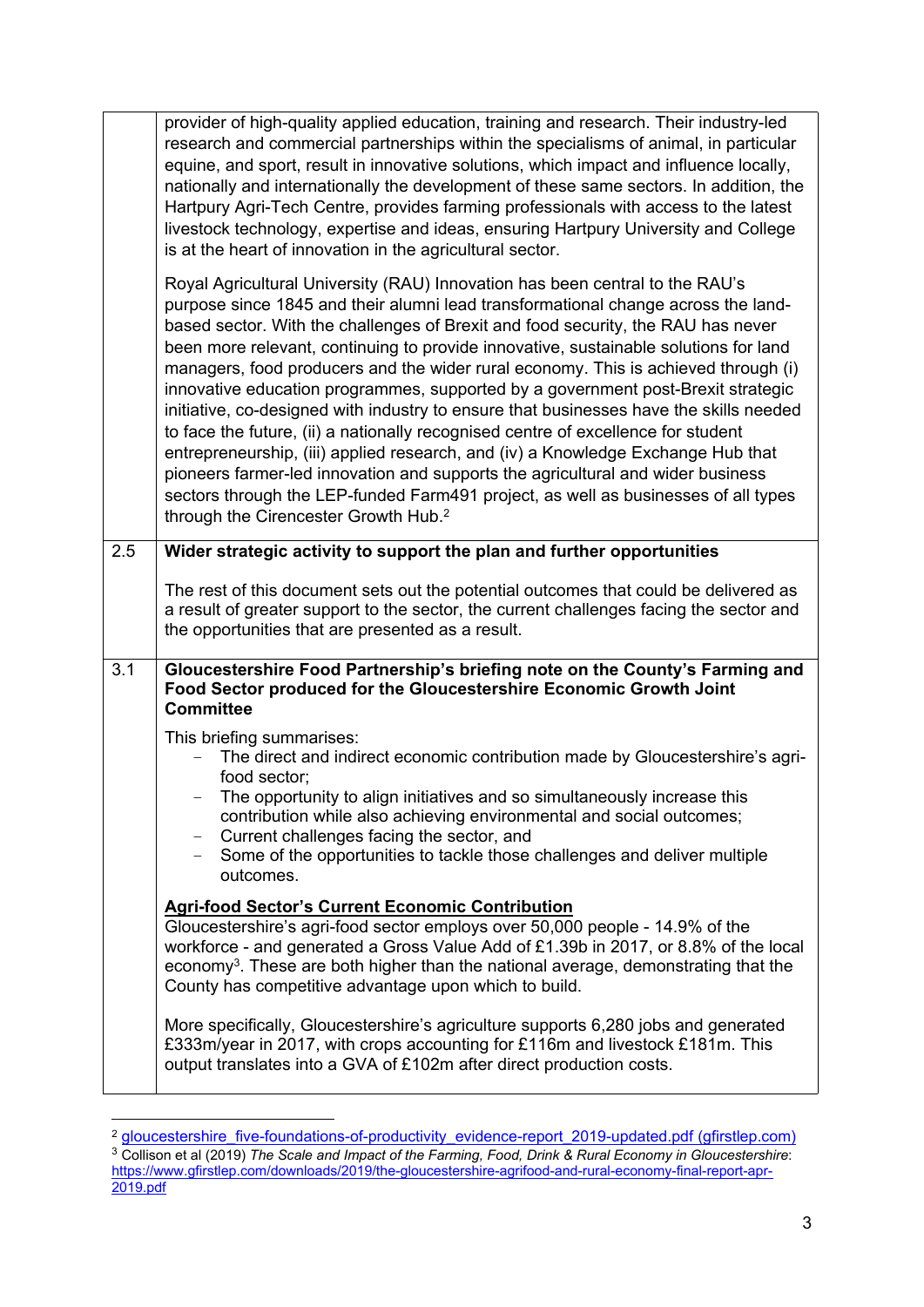|     | provider of high-quality applied education, training and research. Their industry-led<br>research and commercial partnerships within the specialisms of animal, in particular<br>equine, and sport, result in innovative solutions, which impact and influence locally,<br>nationally and internationally the development of these same sectors. In addition, the<br>Hartpury Agri-Tech Centre, provides farming professionals with access to the latest<br>livestock technology, expertise and ideas, ensuring Hartpury University and College<br>is at the heart of innovation in the agricultural sector.                                                                                                                                                                                                                                                                                                                                                                                                            |
|-----|-------------------------------------------------------------------------------------------------------------------------------------------------------------------------------------------------------------------------------------------------------------------------------------------------------------------------------------------------------------------------------------------------------------------------------------------------------------------------------------------------------------------------------------------------------------------------------------------------------------------------------------------------------------------------------------------------------------------------------------------------------------------------------------------------------------------------------------------------------------------------------------------------------------------------------------------------------------------------------------------------------------------------|
|     | Royal Agricultural University (RAU) Innovation has been central to the RAU's<br>purpose since 1845 and their alumni lead transformational change across the land-<br>based sector. With the challenges of Brexit and food security, the RAU has never<br>been more relevant, continuing to provide innovative, sustainable solutions for land<br>managers, food producers and the wider rural economy. This is achieved through (i)<br>innovative education programmes, supported by a government post-Brexit strategic<br>initiative, co-designed with industry to ensure that businesses have the skills needed<br>to face the future, (ii) a nationally recognised centre of excellence for student<br>entrepreneurship, (iii) applied research, and (iv) a Knowledge Exchange Hub that<br>pioneers farmer-led innovation and supports the agricultural and wider business<br>sectors through the LEP-funded Farm491 project, as well as businesses of all types<br>through the Cirencester Growth Hub. <sup>2</sup> |
| 2.5 | Wider strategic activity to support the plan and further opportunities                                                                                                                                                                                                                                                                                                                                                                                                                                                                                                                                                                                                                                                                                                                                                                                                                                                                                                                                                  |
|     | The rest of this document sets out the potential outcomes that could be delivered as<br>a result of greater support to the sector, the current challenges facing the sector and<br>the opportunities that are presented as a result.                                                                                                                                                                                                                                                                                                                                                                                                                                                                                                                                                                                                                                                                                                                                                                                    |
| 3.1 | Gloucestershire Food Partnership's briefing note on the County's Farming and<br>Food Sector produced for the Gloucestershire Economic Growth Joint<br><b>Committee</b>                                                                                                                                                                                                                                                                                                                                                                                                                                                                                                                                                                                                                                                                                                                                                                                                                                                  |
|     | This briefing summarises:<br>The direct and indirect economic contribution made by Gloucestershire's agri-<br>food sector;<br>The opportunity to align initiatives and so simultaneously increase this<br>contribution while also achieving environmental and social outcomes;<br>Current challenges facing the sector, and<br>$\qquad \qquad -$<br>Some of the opportunities to tackle those challenges and deliver multiple<br>outcomes.                                                                                                                                                                                                                                                                                                                                                                                                                                                                                                                                                                              |
|     | <b>Agri-food Sector's Current Economic Contribution</b><br>Gloucestershire's agri-food sector employs over 50,000 people - 14.9% of the<br>workforce - and generated a Gross Value Add of £1.39b in 2017, or 8.8% of the local<br>economy <sup>3</sup> . These are both higher than the national average, demonstrating that the<br>County has competitive advantage upon which to build.                                                                                                                                                                                                                                                                                                                                                                                                                                                                                                                                                                                                                               |
|     | More specifically, Gloucestershire's agriculture supports 6,280 jobs and generated<br>£333m/year in 2017, with crops accounting for £116m and livestock £181m. This<br>output translates into a GVA of £102m after direct production costs.                                                                                                                                                                                                                                                                                                                                                                                                                                                                                                                                                                                                                                                                                                                                                                             |

<sup>&</sup>lt;sup>2</sup> [gloucestershire\\_five-foundations-of-productivity\\_evidence-report\\_2019-updated.pdf](https://www.gfirstlep.com/downloads/2020/gloucestershire_five-foundations-of-productivity_evidence-report_2019-updated.pdf) (gfirstlep.com)

<sup>3</sup> Collison et al (2019) *The Scale and Impact of the Farming, Food, Drink & Rural Economy in Gloucestershire*: [https://www.gfirstlep.com/downloads/2019/the-gloucestershire-agrifood-and-rural-economy-final-report-apr-](https://www.gfirstlep.com/downloads/2019/the-gloucestershire-agrifood-and-rural-economy-final-report-apr-2019.pdf)[2019.pdf](https://www.gfirstlep.com/downloads/2019/the-gloucestershire-agrifood-and-rural-economy-final-report-apr-2019.pdf)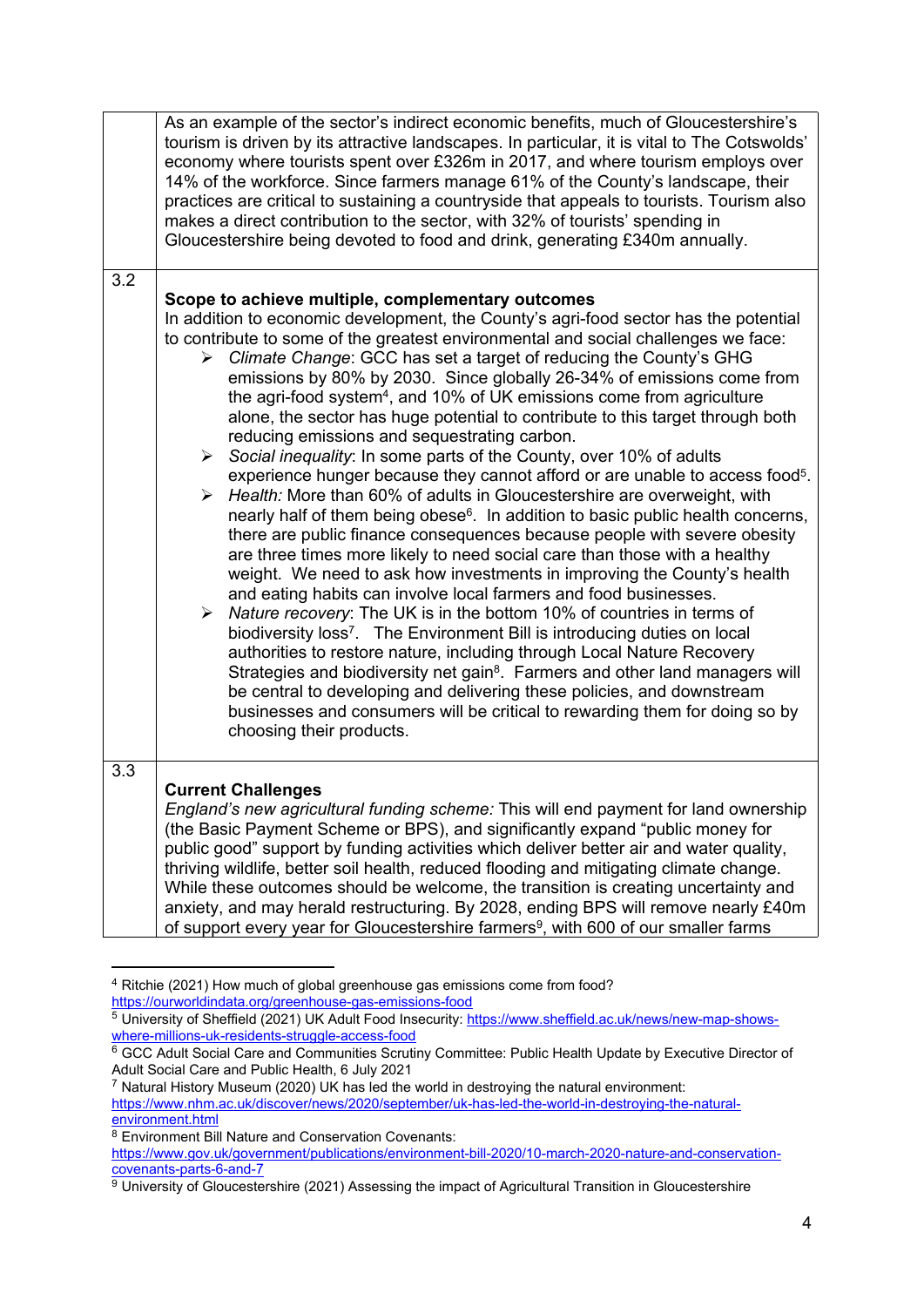|     | As an example of the sector's indirect economic benefits, much of Gloucestershire's<br>tourism is driven by its attractive landscapes. In particular, it is vital to The Cotswolds'<br>economy where tourists spent over £326m in 2017, and where tourism employs over<br>14% of the workforce. Since farmers manage 61% of the County's landscape, their<br>practices are critical to sustaining a countryside that appeals to tourists. Tourism also<br>makes a direct contribution to the sector, with 32% of tourists' spending in<br>Gloucestershire being devoted to food and drink, generating £340m annually.                                                                                                                                                                                                                                                                                                                                                                                                                                                                                                                                                                                                                                                                                                                                                                                                                                                                                                                                                                                                                                                                                                                                                                                                          |
|-----|--------------------------------------------------------------------------------------------------------------------------------------------------------------------------------------------------------------------------------------------------------------------------------------------------------------------------------------------------------------------------------------------------------------------------------------------------------------------------------------------------------------------------------------------------------------------------------------------------------------------------------------------------------------------------------------------------------------------------------------------------------------------------------------------------------------------------------------------------------------------------------------------------------------------------------------------------------------------------------------------------------------------------------------------------------------------------------------------------------------------------------------------------------------------------------------------------------------------------------------------------------------------------------------------------------------------------------------------------------------------------------------------------------------------------------------------------------------------------------------------------------------------------------------------------------------------------------------------------------------------------------------------------------------------------------------------------------------------------------------------------------------------------------------------------------------------------------|
| 3.2 |                                                                                                                                                                                                                                                                                                                                                                                                                                                                                                                                                                                                                                                                                                                                                                                                                                                                                                                                                                                                                                                                                                                                                                                                                                                                                                                                                                                                                                                                                                                                                                                                                                                                                                                                                                                                                                |
|     | Scope to achieve multiple, complementary outcomes<br>In addition to economic development, the County's agri-food sector has the potential<br>to contribute to some of the greatest environmental and social challenges we face:<br>Climate Change: GCC has set a target of reducing the County's GHG<br>➤<br>emissions by 80% by 2030. Since globally 26-34% of emissions come from<br>the agri-food system <sup>4</sup> , and 10% of UK emissions come from agriculture<br>alone, the sector has huge potential to contribute to this target through both<br>reducing emissions and sequestrating carbon.<br>$\triangleright$ Social inequality: In some parts of the County, over 10% of adults<br>experience hunger because they cannot afford or are unable to access food <sup>5</sup> .<br>> Health: More than 60% of adults in Gloucestershire are overweight, with<br>nearly half of them being obese <sup>6</sup> . In addition to basic public health concerns,<br>there are public finance consequences because people with severe obesity<br>are three times more likely to need social care than those with a healthy<br>weight. We need to ask how investments in improving the County's health<br>and eating habits can involve local farmers and food businesses.<br>$\triangleright$ Nature recovery: The UK is in the bottom 10% of countries in terms of<br>biodiversity loss <sup>7</sup> . The Environment Bill is introducing duties on local<br>authorities to restore nature, including through Local Nature Recovery<br>Strategies and biodiversity net gain <sup>8</sup> . Farmers and other land managers will<br>be central to developing and delivering these policies, and downstream<br>businesses and consumers will be critical to rewarding them for doing so by<br>choosing their products. |
| 3.3 | <b>Current Challenges</b><br>England's new agricultural funding scheme: This will end payment for land ownership<br>(the Basic Payment Scheme or BPS), and significantly expand "public money for<br>public good" support by funding activities which deliver better air and water quality,<br>thriving wildlife, better soil health, reduced flooding and mitigating climate change.<br>While these outcomes should be welcome, the transition is creating uncertainty and<br>anxiety, and may herald restructuring. By 2028, ending BPS will remove nearly £40m<br>of support every year for Gloucestershire farmers <sup>9</sup> , with 600 of our smaller farms                                                                                                                                                                                                                                                                                                                                                                                                                                                                                                                                                                                                                                                                                                                                                                                                                                                                                                                                                                                                                                                                                                                                                            |

<sup>4</sup> Ritchie (2021) How much of global greenhouse gas emissions come from food? <https://ourworldindata.org/greenhouse-gas-emissions-food>

<sup>5</sup> University of Sheffield (2021) UK Adult Food Insecurity: [https://www.sheffield.ac.uk/news/new-map-shows](https://www.sheffield.ac.uk/news/new-map-shows-where-millions-uk-residents-struggle-access-food)[where-millions-uk-residents-struggle-access-food](https://www.sheffield.ac.uk/news/new-map-shows-where-millions-uk-residents-struggle-access-food)

<sup>&</sup>lt;sup>6</sup> GCC Adult Social Care and Communities Scrutiny Committee: Public Health Update by Executive Director of Adult Social Care and Public Health, 6 July 2021

<sup>7</sup> Natural History Museum (2020) UK has led the world in destroying the natural environment:

[https://www.nhm.ac.uk/discover/news/2020/september/uk-has-led-the-world-in-destroying-the-natural](https://www.nhm.ac.uk/discover/news/2020/september/uk-has-led-the-world-in-destroying-the-natural-environment.html)[environment.html](https://www.nhm.ac.uk/discover/news/2020/september/uk-has-led-the-world-in-destroying-the-natural-environment.html)

<sup>8</sup> Environment Bill Nature and Conservation Covenants:

[https://www.gov.uk/government/publications/environment-bill-2020/10-march-2020-nature-and-conservation](https://www.gov.uk/government/publications/environment-bill-2020/10-march-2020-nature-and-conservation-covenants-parts-6-and-7)[covenants-parts-6-and-7](https://www.gov.uk/government/publications/environment-bill-2020/10-march-2020-nature-and-conservation-covenants-parts-6-and-7)

 $9$  University of Gloucestershire (2021) Assessing the impact of Agricultural Transition in Gloucestershire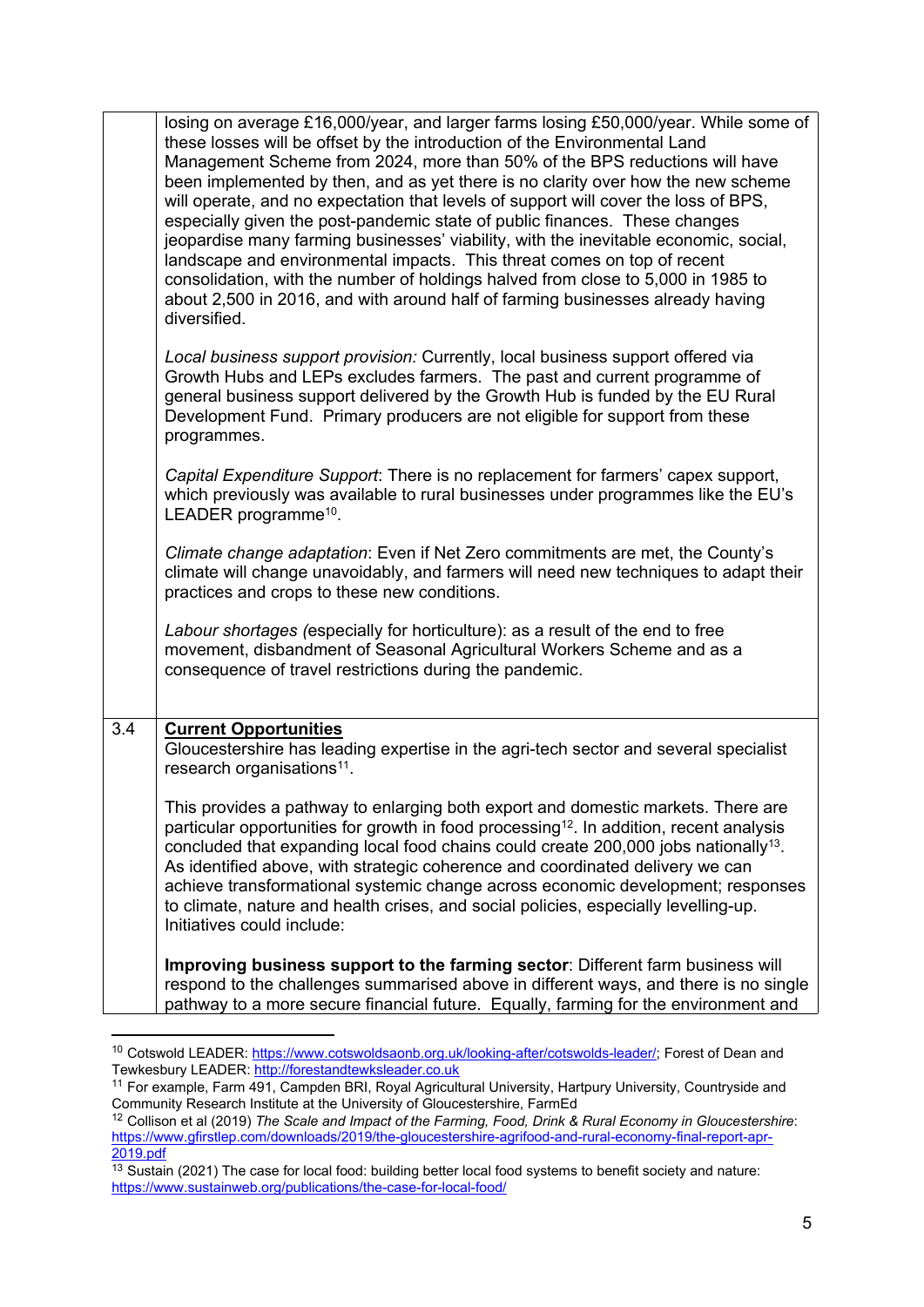|     | losing on average £16,000/year, and larger farms losing £50,000/year. While some of<br>these losses will be offset by the introduction of the Environmental Land<br>Management Scheme from 2024, more than 50% of the BPS reductions will have<br>been implemented by then, and as yet there is no clarity over how the new scheme<br>will operate, and no expectation that levels of support will cover the loss of BPS,<br>especially given the post-pandemic state of public finances. These changes<br>jeopardise many farming businesses' viability, with the inevitable economic, social,<br>landscape and environmental impacts. This threat comes on top of recent<br>consolidation, with the number of holdings halved from close to 5,000 in 1985 to<br>about 2,500 in 2016, and with around half of farming businesses already having<br>diversified. |
|-----|------------------------------------------------------------------------------------------------------------------------------------------------------------------------------------------------------------------------------------------------------------------------------------------------------------------------------------------------------------------------------------------------------------------------------------------------------------------------------------------------------------------------------------------------------------------------------------------------------------------------------------------------------------------------------------------------------------------------------------------------------------------------------------------------------------------------------------------------------------------|
|     | Local business support provision: Currently, local business support offered via<br>Growth Hubs and LEPs excludes farmers. The past and current programme of<br>general business support delivered by the Growth Hub is funded by the EU Rural<br>Development Fund. Primary producers are not eligible for support from these<br>programmes.                                                                                                                                                                                                                                                                                                                                                                                                                                                                                                                      |
|     | Capital Expenditure Support: There is no replacement for farmers' capex support,<br>which previously was available to rural businesses under programmes like the EU's<br>LEADER programme <sup>10</sup> .                                                                                                                                                                                                                                                                                                                                                                                                                                                                                                                                                                                                                                                        |
|     | Climate change adaptation: Even if Net Zero commitments are met, the County's<br>climate will change unavoidably, and farmers will need new techniques to adapt their<br>practices and crops to these new conditions.                                                                                                                                                                                                                                                                                                                                                                                                                                                                                                                                                                                                                                            |
|     | Labour shortages (especially for horticulture): as a result of the end to free<br>movement, disbandment of Seasonal Agricultural Workers Scheme and as a<br>consequence of travel restrictions during the pandemic.                                                                                                                                                                                                                                                                                                                                                                                                                                                                                                                                                                                                                                              |
| 3.4 | <b>Current Opportunities</b><br>Gloucestershire has leading expertise in the agri-tech sector and several specialist<br>research organisations <sup>11</sup> .                                                                                                                                                                                                                                                                                                                                                                                                                                                                                                                                                                                                                                                                                                   |
|     | This provides a pathway to enlarging both export and domestic markets. There are<br>particular opportunities for growth in food processing <sup>12</sup> . In addition, recent analysis<br>concluded that expanding local food chains could create 200,000 jobs nationally <sup>13</sup> .<br>As identified above, with strategic coherence and coordinated delivery we can<br>achieve transformational systemic change across economic development; responses<br>to climate, nature and health crises, and social policies, especially levelling-up.<br>Initiatives could include:                                                                                                                                                                                                                                                                              |
|     | Improving business support to the farming sector: Different farm business will<br>respond to the challenges summarised above in different ways, and there is no single<br>pathway to a more secure financial future. Equally, farming for the environment and                                                                                                                                                                                                                                                                                                                                                                                                                                                                                                                                                                                                    |

<sup>10</sup> Cotswold LEADER: [https://www.cotswoldsaonb.org.uk/looking-after/cotswolds-leader/;](https://www.cotswoldsaonb.org.uk/looking-after/cotswolds-leader/) Forest of Dean and Tewkesbury LEADER: [http://forestandtewksleader.co.uk](http://forestandtewksleader.co.uk/)

<sup>11</sup> For example, Farm 491, Campden BRI, Royal Agricultural University, Hartpury University, Countryside and Community Research Institute at the University of Gloucestershire, FarmEd

<sup>12</sup> Collison et al (2019) *The Scale and Impact of the Farming, Food, Drink & Rural Economy in Gloucestershire*: [https://www.gfirstlep.com/downloads/2019/the-gloucestershire-agrifood-and-rural-economy-final-report-apr-](https://www.gfirstlep.com/downloads/2019/the-gloucestershire-agrifood-and-rural-economy-final-report-apr-2019.pdf)[2019.pdf](https://www.gfirstlep.com/downloads/2019/the-gloucestershire-agrifood-and-rural-economy-final-report-apr-2019.pdf)

<sup>&</sup>lt;sup>13</sup> Sustain (2021) The case for local food: building better local food systems to benefit society and nature: <https://www.sustainweb.org/publications/the-case-for-local-food/>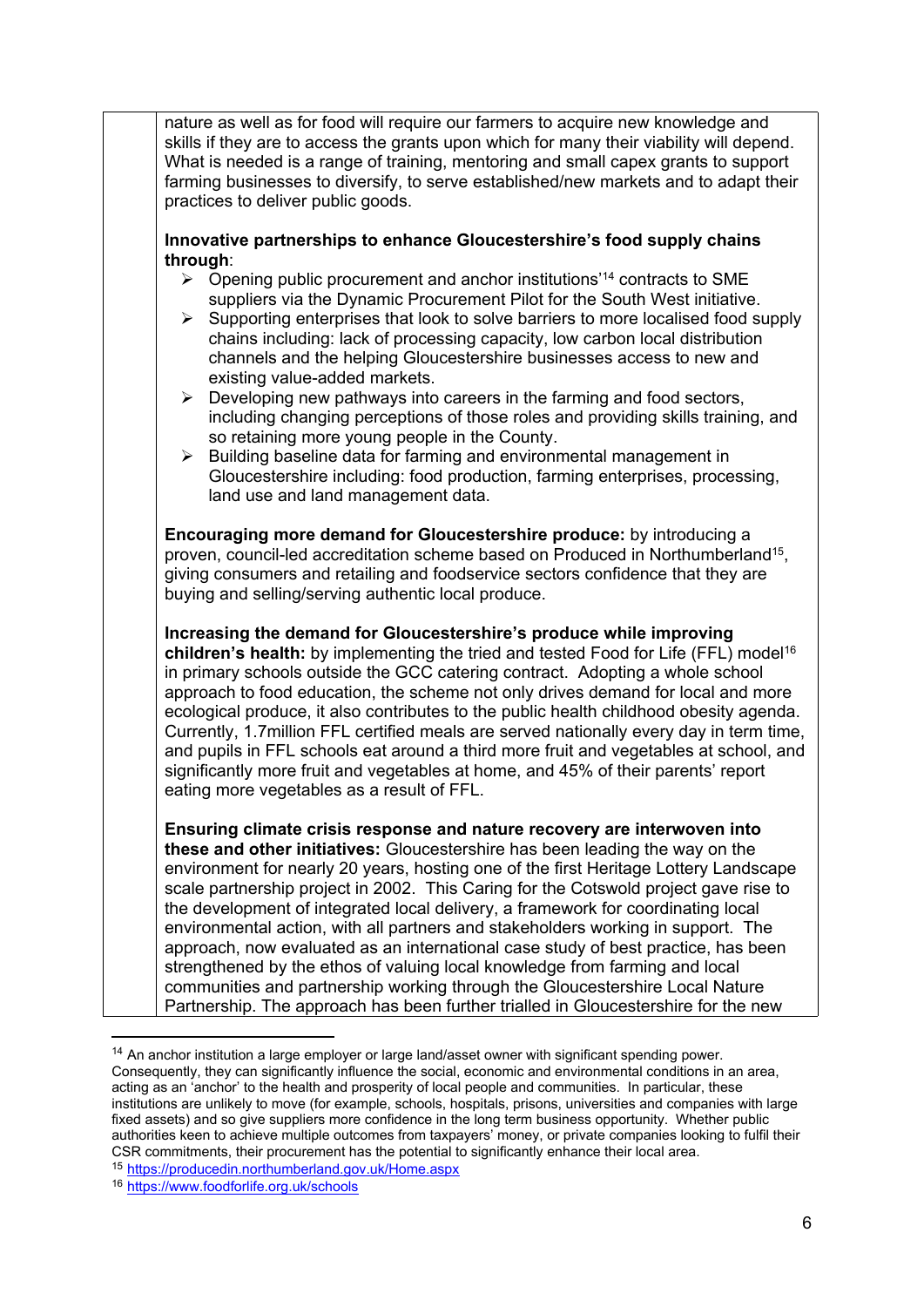| nature as well as for food will require our farmers to acquire new knowledge and<br>skills if they are to access the grants upon which for many their viability will depend.<br>What is needed is a range of training, mentoring and small capex grants to support<br>farming businesses to diversify, to serve established/new markets and to adapt their<br>practices to deliver public goods.                                                                                                                                                                                                                                                                                                                                                                     |
|----------------------------------------------------------------------------------------------------------------------------------------------------------------------------------------------------------------------------------------------------------------------------------------------------------------------------------------------------------------------------------------------------------------------------------------------------------------------------------------------------------------------------------------------------------------------------------------------------------------------------------------------------------------------------------------------------------------------------------------------------------------------|
| Innovative partnerships to enhance Gloucestershire's food supply chains                                                                                                                                                                                                                                                                                                                                                                                                                                                                                                                                                                                                                                                                                              |
| through:                                                                                                                                                                                                                                                                                                                                                                                                                                                                                                                                                                                                                                                                                                                                                             |
| Opening public procurement and anchor institutions' <sup>14</sup> contracts to SME<br>$\blacktriangleright$<br>suppliers via the Dynamic Procurement Pilot for the South West initiative.<br>Supporting enterprises that look to solve barriers to more localised food supply<br>➤<br>chains including: lack of processing capacity, low carbon local distribution<br>channels and the helping Gloucestershire businesses access to new and<br>existing value-added markets.                                                                                                                                                                                                                                                                                         |
| Developing new pathways into careers in the farming and food sectors,<br>$\blacktriangleright$<br>including changing perceptions of those roles and providing skills training, and<br>so retaining more young people in the County.                                                                                                                                                                                                                                                                                                                                                                                                                                                                                                                                  |
| Building baseline data for farming and environmental management in<br>➤<br>Gloucestershire including: food production, farming enterprises, processing,<br>land use and land management data.                                                                                                                                                                                                                                                                                                                                                                                                                                                                                                                                                                        |
| Encouraging more demand for Gloucestershire produce: by introducing a<br>proven, council-led accreditation scheme based on Produced in Northumberland <sup>15</sup> ,<br>giving consumers and retailing and foodservice sectors confidence that they are<br>buying and selling/serving authentic local produce.                                                                                                                                                                                                                                                                                                                                                                                                                                                      |
| Increasing the demand for Gloucestershire's produce while improving<br>children's health: by implementing the tried and tested Food for Life (FFL) model <sup>16</sup><br>in primary schools outside the GCC catering contract. Adopting a whole school<br>approach to food education, the scheme not only drives demand for local and more<br>ecological produce, it also contributes to the public health childhood obesity agenda.<br>Currently, 1.7 million FFL certified meals are served nationally every day in term time,<br>and pupils in FFL schools eat around a third more fruit and vegetables at school, and<br>significantly more fruit and vegetables at home, and 45% of their parents' report<br>eating more vegetables as a result of FFL.        |
| Ensuring climate crisis response and nature recovery are interwoven into<br>these and other initiatives: Gloucestershire has been leading the way on the<br>environment for nearly 20 years, hosting one of the first Heritage Lottery Landscape<br>scale partnership project in 2002. This Caring for the Cotswold project gave rise to<br>the development of integrated local delivery, a framework for coordinating local<br>environmental action, with all partners and stakeholders working in support. The<br>approach, now evaluated as an international case study of best practice, has been<br>strengthened by the ethos of valuing local knowledge from farming and local<br>communities and partnership working through the Gloucestershire Local Nature |

Partnership. The approach has been further trialled in Gloucestershire for the new

<sup>14</sup> An anchor institution a large employer or large land/asset owner with significant spending power. Consequently, they can significantly influence the social, economic and environmental conditions in an area, acting as an 'anchor' to the health and prosperity of local people and communities. In particular, these institutions are unlikely to move (for example, schools, hospitals, prisons, universities and companies with large fixed assets) and so give suppliers more confidence in the long term business opportunity. Whether public authorities keen to achieve multiple outcomes from taxpayers' money, or private companies looking to fulfil their CSR commitments, their procurement has the potential to significantly enhance their local area.

<sup>15</sup> <https://producedin.northumberland.gov.uk/Home.aspx>

<sup>16</sup> <https://www.foodforlife.org.uk/schools>